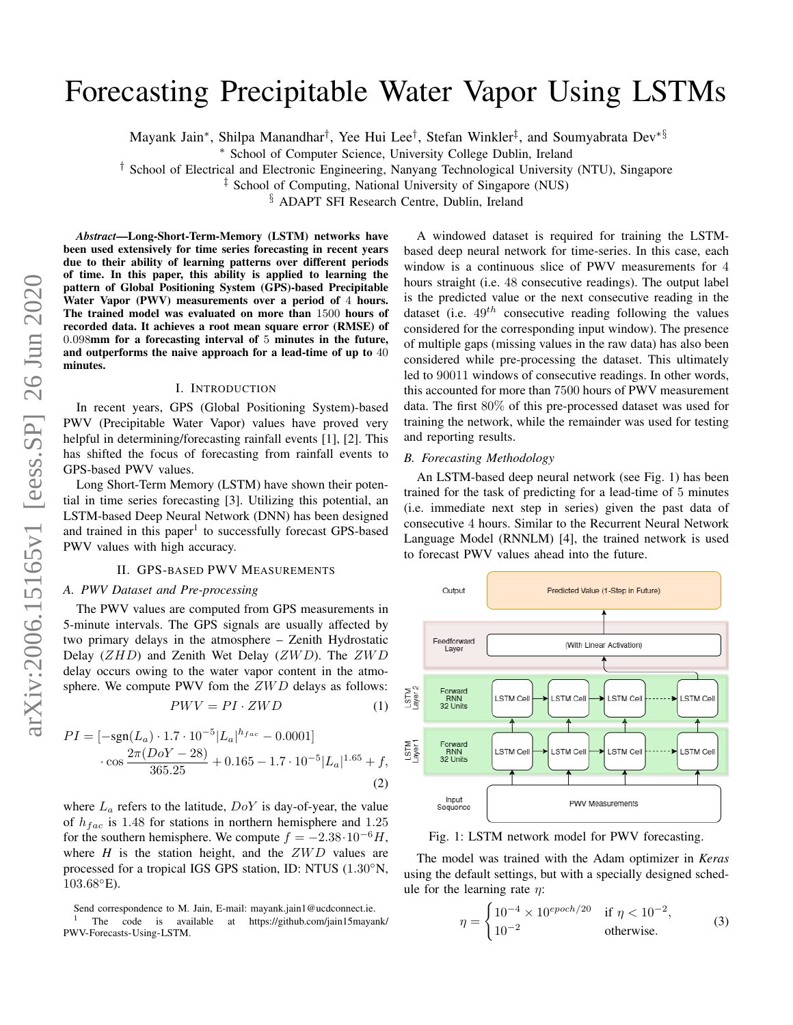# Forecasting Precipitable Water Vapor Using LSTMs

Mayank Jain\*, Shilpa Manandhar<sup>†</sup>, Yee Hui Lee<sup>†</sup>, Stefan Winkler‡, and Soumyabrata Dev\*§

<sup>∗</sup> School of Computer Science, University College Dublin, Ireland

† School of Electrical and Electronic Engineering, Nanyang Technological University (NTU), Singapore

‡ School of Computing, National University of Singapore (NUS)

§ ADAPT SFI Research Centre, Dublin, Ireland

*Abstract*—Long-Short-Term-Memory (LSTM) networks have been used extensively for time series forecasting in recent years due to their ability of learning patterns over different periods of time. In this paper, this ability is applied to learning the pattern of Global Positioning System (GPS)-based Precipitable Water Vapor (PWV) measurements over a period of 4 hours. The trained model was evaluated on more than 1500 hours of recorded data. It achieves a root mean square error (RMSE) of 0.098mm for a forecasting interval of 5 minutes in the future, and outperforms the naive approach for a lead-time of up to 40 minutes.

#### I. INTRODUCTION

In recent years, GPS (Global Positioning System)-based PWV (Precipitable Water Vapor) values have proved very helpful in determining/forecasting rainfall events [\[1\]](#page-1-0), [\[2\]](#page-1-1). This has shifted the focus of forecasting from rainfall events to GPS-based PWV values.

Long Short-Term Memory (LSTM) have shown their potential in time series forecasting [\[3\]](#page-1-2). Utilizing this potential, an LSTM-based Deep Neural Network (DNN) has been designed and trained in this paper<sup>[1](#page-0-0)</sup> to successfully forecast GPS-based PWV values with high accuracy.

#### II. GPS-BASED PWV MEASUREMENTS

#### *A. PWV Dataset and Pre-processing*

The PWV values are computed from GPS measurements in 5-minute intervals. The GPS signals are usually affected by two primary delays in the atmosphere – Zenith Hydrostatic Delay  $(ZHD)$  and Zenith Wet Delay  $(ZWD)$ . The  $ZWD$ delay occurs owing to the water vapor content in the atmosphere. We compute PWV fom the  $ZWD$  delays as follows:

$$
PWV = PI \cdot ZWD \tag{1}
$$

$$
PI = [-sgn(L_a) \cdot 1.7 \cdot 10^{-5} |L_a|^{h_{fac}} - 0.0001]
$$

$$
\cdot \cos \frac{2\pi (DoY - 28)}{365.25} + 0.165 - 1.7 \cdot 10^{-5} |L_a|^{1.65} + f,
$$
(2)

where  $L_a$  refers to the latitude,  $DoY$  is day-of-year, the value of  $h_{fac}$  is 1.48 for stations in northern hemisphere and 1.25 for the southern hemisphere. We compute  $f = -2.38 \cdot 10^{-6} H$ , where  $H$  is the station height, and the  $ZWD$  values are processed for a tropical IGS GPS station, ID: NTUS (1.30◦N,  $103.68^{\circ}$ E).

A windowed dataset is required for training the LSTMbased deep neural network for time-series. In this case, each window is a continuous slice of PWV measurements for 4 hours straight (i.e. 48 consecutive readings). The output label is the predicted value or the next consecutive reading in the dataset (i.e.  $49^{th}$  consecutive reading following the values considered for the corresponding input window). The presence of multiple gaps (missing values in the raw data) has also been considered while pre-processing the dataset. This ultimately led to 90011 windows of consecutive readings. In other words, this accounted for more than 7500 hours of PWV measurement data. The first 80% of this pre-processed dataset was used for training the network, while the remainder was used for testing and reporting results.

## *B. Forecasting Methodology*

An LSTM-based deep neural network (see Fig. [1\)](#page-0-1) has been trained for the task of predicting for a lead-time of 5 minutes (i.e. immediate next step in series) given the past data of consecutive 4 hours. Similar to the Recurrent Neural Network Language Model (RNNLM) [\[4\]](#page-1-3), the trained network is used to forecast PWV values ahead into the future.

<span id="page-0-1"></span>

Fig. 1: LSTM network model for PWV forecasting.

The model was trained with the Adam optimizer in *Keras* using the default settings, but with a specially designed schedule for the learning rate  $\eta$ :

$$
\eta = \begin{cases} 10^{-4} \times 10^{epoch/20} & \text{if } \eta < 10^{-2}, \\ 10^{-2} & \text{otherwise.} \end{cases}
$$
 (3)

<span id="page-0-0"></span>Send correspondence to M. Jain, E-mail: mayank.jain1@ucdconnect.ie.

<sup>1</sup> The code is available at [https://github.com/jain15mayank/](https://github.com/jain15mayank/PWV-Forecasts-Using-LSTM) [PWV-Forecasts-Using-LSTM.](https://github.com/jain15mayank/PWV-Forecasts-Using-LSTM)